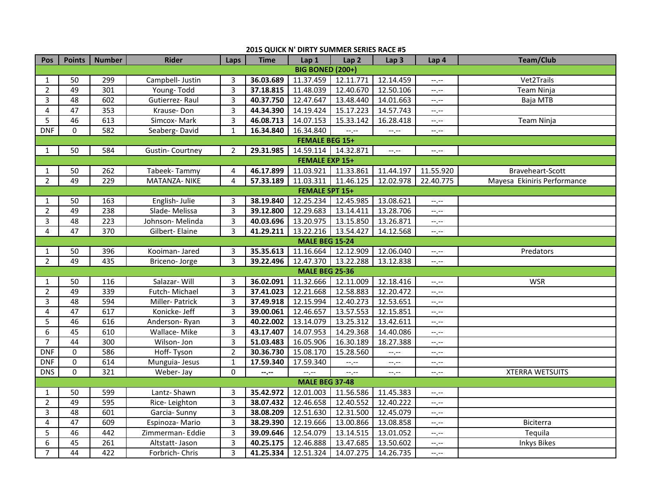| Pos                     | <b>Points</b>         | <b>Number</b>    | <b>Rider</b>           | Laps           | <b>Time</b> | Lap 1                 | Lap <sub>2</sub> | Lap <sub>3</sub> | Lap 4       | <b>Team/Club</b>            |  |  |
|-------------------------|-----------------------|------------------|------------------------|----------------|-------------|-----------------------|------------------|------------------|-------------|-----------------------------|--|--|
| <b>BIG BONED (200+)</b> |                       |                  |                        |                |             |                       |                  |                  |             |                             |  |  |
| $\mathbf{1}$            | 50                    | 299              | Campbell- Justin       | 3              | 36.03.689   | 11.37.459             | 12.11.771        | 12.14.459        | $--, --$    | Vet2Trails                  |  |  |
| $\overline{2}$          | 49                    | 301              | Young-Todd             | $\overline{3}$ | 37.18.815   | 11.48.039             | 12.40.670        | 12.50.106        | $-1$        | <b>Team Ninja</b>           |  |  |
| 3                       | 48                    | 602              | Gutierrez-Raul         | 3              | 40.37.750   | 12.47.647             | 13.48.440        | 14.01.663        | $-1$ , $-1$ | Baja MTB                    |  |  |
| 4                       | 47                    | 353              | Krause-Don             | 3              | 44.34.390   | 14.19.424             | 15.17.223        | 14.57.743        | $-1, -1$    |                             |  |  |
| 5                       | 46                    | 613              | Simcox-Mark            | 3              | 46.08.713   | 14.07.153             | 15.33.142        | 16.28.418        | $-1, -1$    | Team Ninja                  |  |  |
| <b>DNF</b>              | $\mathbf 0$           | 582              | Seaberg-David          | $\mathbf{1}$   | 16.34.840   | 16.34.840             | $-$ , $-$        | --,--            | $-1, -1$    |                             |  |  |
|                         | <b>FEMALE BEG 15+</b> |                  |                        |                |             |                       |                  |                  |             |                             |  |  |
| 1                       | 50                    | 584              | <b>Gustin-Courtney</b> | 2              | 29.31.985   | 14.59.114             | 14.32.871        | $-1, -1$         | $-1, -1$    |                             |  |  |
| <b>FEMALE EXP 15+</b>   |                       |                  |                        |                |             |                       |                  |                  |             |                             |  |  |
| 1                       | 50                    | 262              | Tabeek-Tammy           | 4              | 46.17.899   | 11.03.921             | 11.33.861        | 11.44.197        | 11.55.920   | Braveheart-Scott            |  |  |
| $\overline{2}$          | 49                    | 229              | MATANZA- NIKE          | 4              | 57.33.189   | 11.03.311             | 11.46.125        | 12.02.978        | 22.40.775   | Mayesa Ekiniris Performance |  |  |
|                         | <b>FEMALE SPT 15+</b> |                  |                        |                |             |                       |                  |                  |             |                             |  |  |
| 1                       | 50                    | 163              | English-Julie          | 3              | 38.19.840   | 12.25.234             | 12.45.985        | 13.08.621        | $-1, -1$    |                             |  |  |
| $\overline{2}$          | 49                    | 238              | Slade-Melissa          | 3              | 39.12.800   | 12.29.683             | 13.14.411        | 13.28.706        | $-1, -1$    |                             |  |  |
| 3                       | 48                    | 223              | Johnson-Melinda        | 3              | 40.03.696   | 13.20.975             | 13.15.850        | 13.26.871        | $-1, -1$    |                             |  |  |
| 4                       | 47                    | 370              | Gilbert-Elaine         | 3              | 41.29.211   | 13.22.216             | 13.54.427        | 14.12.568        | $-1, -1$    |                             |  |  |
|                         |                       |                  |                        |                |             | <b>MALE BEG 15-24</b> |                  |                  |             |                             |  |  |
| 1                       | 50                    | 396              | Kooiman-Jared          | 3              | 35.35.613   | 11.16.664             | 12.12.909        | 12.06.040        | $-1, -1$    | Predators                   |  |  |
| $\overline{2}$          | 49                    | 435              | Briceno-Jorge          | 3              | 39.22.496   | 12.47.370             | 13.22.288        | 13.12.838        | $-1$ , $-1$ |                             |  |  |
|                         |                       |                  |                        |                |             | <b>MALE BEG 25-36</b> |                  |                  |             |                             |  |  |
| 1                       | 50                    | 116              | Salazar-Will           | 3              | 36.02.091   | 11.32.666             | 12.11.009        | 12.18.416        | $-1$        | <b>WSR</b>                  |  |  |
| 2                       | 49                    | 339              | Futch-Michael          | 3              | 37.41.023   | 12.21.668             | 12.58.883        | 12.20.472        | $-1, -1$    |                             |  |  |
| 3                       | $\overline{48}$       | 594              | Miller-Patrick         | 3              | 37.49.918   | 12.15.994             | 12.40.273        | 12.53.651        | $-1, -1$    |                             |  |  |
| 4                       | 47                    | 617              | Konicke-Jeff           | 3              | 39.00.061   | 12.46.657             | 13.57.553        | 12.15.851        | $-1, -1$    |                             |  |  |
| 5                       | 46                    | 616              | Anderson-Ryan          | 3              | 40.22.002   | 13.14.079             | 13.25.312        | 13.42.611        | $-1$        |                             |  |  |
| 6                       | 45                    | 610              | Wallace-Mike           | 3              | 43.17.407   | 14.07.953             | 14.29.368        | 14.40.086        | $-1$ , $-1$ |                             |  |  |
| $\overline{7}$          | 44                    | $\overline{300}$ | Wilson-Jon             | 3              | 51.03.483   | 16.05.906             | 16.30.189        | 18.27.388        | $-1$ , $-1$ |                             |  |  |
| <b>DNF</b>              | $\mathbf 0$           | 586              | Hoff-Tyson             | $\overline{2}$ | 30.36.730   | 15.08.170             | 15.28.560        | $-1$             | $-1, -1$    |                             |  |  |
| <b>DNF</b>              | $\boldsymbol{0}$      | 614              | Munguia- Jesus         | $\mathbf{1}$   | 17.59.340   | 17.59.340             | $-1$             | $-1$             | $-1, -1$    |                             |  |  |
| <b>DNS</b>              | $\Omega$              | 321              | Weber-Jay              | 0              | --.--       | $-1$ .                | $-1$             | $-1$ , $-1$      | $-1, -1$    | <b>XTERRA WETSUITS</b>      |  |  |
| <b>MALE BEG 37-48</b>   |                       |                  |                        |                |             |                       |                  |                  |             |                             |  |  |
| 1                       | 50                    | 599              | Lantz-Shawn            | $\overline{3}$ | 35.42.972   | 12.01.003             | 11.56.586        | 11.45.383        | $-1, -1$    |                             |  |  |
| $\overline{2}$          | 49                    | 595              | Rice-Leighton          | 3              | 38.07.432   | 12.46.658             | 12.40.552        | 12.40.222        | $-1, -1$    |                             |  |  |
| 3                       | 48                    | 601              | Garcia- Sunny          | 3              | 38.08.209   | 12.51.630             | 12.31.500        | 12.45.079        | $-1, -1$    |                             |  |  |
| 4                       | 47                    | 609              | Espinoza-Mario         | 3              | 38.29.390   | 12.19.666             | 13.00.866        | 13.08.858        | $-1$        | <b>Biciterra</b>            |  |  |
| 5                       | 46                    | 442              | Zimmerman- Eddie       | 3              | 39.09.646   | 12.54.079             | 13.14.515        | 13.01.052        | $-$ , $-$   | Tequila                     |  |  |
| 6                       | 45                    | 261              | Altstatt- Jason        | 3              | 40.25.175   | 12.46.888             | 13.47.685        | 13.50.602        | $-1, -1$    | <b>Inkys Bikes</b>          |  |  |
| $\overline{7}$          | 44                    | 422              | Forbrich-Chris         | 3              | 41.25.334   | 12.51.324             | 14.07.275        | 14.26.735        | $-1, -1$    |                             |  |  |

## **2015 QUICK N' DIRTY SUMMER SERIES RACE #5**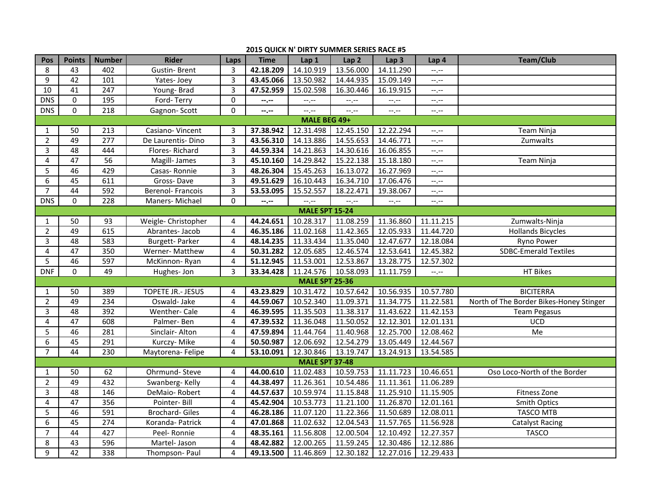## **2015 QUICK N' DIRTY SUMMER SERIES RACE #5**

| <b>Pos</b>            | <b>Points</b> | <b>Number</b>    | <b>Rider</b>            | Laps           | <b>Time</b> | Lap 1                 | Lap <sub>2</sub> | Lap <sub>3</sub> | Lap 4            | <b>Team/Club</b>                        |
|-----------------------|---------------|------------------|-------------------------|----------------|-------------|-----------------------|------------------|------------------|------------------|-----------------------------------------|
| 8                     | 43            | 402              | <b>Gustin-Brent</b>     | 3              | 42.18.209   | 14.10.919             | 13.56.000        | 14.11.290        | $-1, -1$         |                                         |
| 9                     | 42            | 101              | Yates-Joey              | 3              | 43.45.066   | 13.50.982             | 14.44.935        | 15.09.149        | $-1$ .           |                                         |
| 10                    | 41            | 247              | Young-Brad              | 3              | 47.52.959   | 15.02.598             | 16.30.446        | 16.19.915        | $-$ , $-$        |                                         |
| <b>DNS</b>            | $\mathbf 0$   | 195              | Ford-Terry              | $\mathbf 0$    | --,--       | $-$ , $-$             | $-1, -1$         | $-1$             | $-1$             |                                         |
| <b>DNS</b>            | 0             | $\overline{218}$ | Gagnon-Scott            | $\mathbf 0$    | $-2 - 1$    | $-1$                  | $-1$ , $-1$      | $-1 - 1 - 1 = 0$ | $-1, -1$         |                                         |
| MALE BEG 49+          |               |                  |                         |                |             |                       |                  |                  |                  |                                         |
| $\mathbf{1}$          | 50            | 213              | Casiano-Vincent         | 3              | 37.38.942   | 12.31.498             | 12.45.150        | 12.22.294        | $-1, -1$         | Team Ninja                              |
| $\overline{2}$        | 49            | 277              | De Laurentis-Dino       | 3              | 43.56.310   | 14.13.886             | 14.55.653        | 14.46.771        | $-1$ , $-1$      | Zumwalts                                |
| 3                     | 48            | 444              | Flores-Richard          | 3              | 44.59.334   | 14.21.863             | 14.30.616        | 16.06.855        | $-1 - 1 - 1 = 0$ |                                         |
| 4                     | 47            | 56               | Magill-James            | $\overline{3}$ | 45.10.160   | 14.29.842             | 15.22.138        | 15.18.180        | $-1$ , $-1$      | Team Ninja                              |
| 5                     | 46            | 429              | Casas-Ronnie            | 3              | 48.26.304   | 15.45.263             | 16.13.072        | 16.27.969        | $-1, -1$         |                                         |
| 6                     | 45            | 611              | Gross-Dave              | 3              | 49.51.629   | 16.10.443             | 16.34.710        | 17.06.476        | $-1$ , $-1$      |                                         |
| $\overline{7}$        | 44            | 592              | <b>Berenol-Francois</b> | 3              | 53.53.095   | 15.52.557             | 18.22.471        | 19.38.067        | $-1$             |                                         |
| <b>DNS</b>            | $\mathbf{0}$  | 228              | Maners-Michael          | $\Omega$       | --.--       | --,--                 | $-1$             | $-$ , $-$        | $-1, -1$         |                                         |
|                       |               |                  |                         |                |             | <b>MALE SPT 15-24</b> |                  |                  |                  |                                         |
| $\mathbf{1}$          | 50            | 93               | Weigle- Christopher     | 4              | 44.24.651   | 10.28.317             | 11.08.259        | 11.36.860        | 11.11.215        | Zumwalts-Ninja                          |
| $\overline{2}$        | 49            | 615              | Abrantes-Jacob          | $\overline{4}$ | 46.35.186   | 11.02.168             | 11.42.365        | 12.05.933        | 11.44.720        | <b>Hollands Bicycles</b>                |
| $\overline{3}$        | 48            | 583              | Burgett-Parker          | 4              | 48.14.235   | 11.33.434             | 11.35.040        | 12.47.677        | 12.18.084        | Ryno Power                              |
| 4                     | 47            | 350              | Werner-Matthew          | 4              | 50.31.282   | 12.05.685             | 12.46.574        | 12.53.641        | 12.45.382        | <b>SDBC-Emerald Textiles</b>            |
| 5                     | 46            | 597              | McKinnon-Ryan           | 4              | 51.12.945   | 11.53.001             | 12.53.867        | 13.28.775        | 12.57.302        |                                         |
| <b>DNF</b>            | $\mathbf{0}$  | 49               | Hughes-Jon              | 3              | 33.34.428   | 11.24.576             | 10.58.093        | 11.11.759        | $-1, -1$         | HT Bikes                                |
|                       |               |                  |                         |                |             | <b>MALE SPT 25-36</b> |                  |                  |                  |                                         |
| $\mathbf{1}$          | 50            | 389              | TOPETE JR.- JESUS       | 4              | 43.23.829   | 10.31.472             | 10.57.642        | 10.56.935        | 10.57.780        | <b>BICITERRA</b>                        |
| $\overline{2}$        | 49            | 234              | Oswald-Jake             | 4              | 44.59.067   | 10.52.340             | 11.09.371        | 11.34.775        | 11.22.581        | North of The Border Bikes-Honey Stinger |
| 3                     | 48            | 392              | Wenther-Cale            | 4              | 46.39.595   | 11.35.503             | 11.38.317        | 11.43.622        | 11.42.153        | <b>Team Pegasus</b>                     |
| 4                     | 47            | 608              | Palmer-Ben              | $\overline{4}$ | 47.39.532   | 11.36.048             | 11.50.052        | 12.12.301        | 12.01.131        | <b>UCD</b>                              |
| 5                     | 46            | 281              | Sinclair-Alton          | 4              | 47.59.894   | 11.44.764             | 11.40.968        | 12.25.700        | 12.08.462        | Me                                      |
| 6                     | 45            | 291              | Kurczy- Mike            | 4              | 50.50.987   | 12.06.692             | 12.54.279        | 13.05.449        | 12.44.567        |                                         |
| $\overline{7}$        | 44            | 230              | Maytorena-Felipe        | $\overline{4}$ | 53.10.091   | 12.30.846             | 13.19.747        | 13.24.913        | 13.54.585        |                                         |
| <b>MALE SPT 37-48</b> |               |                  |                         |                |             |                       |                  |                  |                  |                                         |
| $\mathbf{1}$          | 50            | 62               | Ohrmund-Steve           | 4              | 44.00.610   | 11.02.483             | 10.59.753        | 11.11.723        | 10.46.651        | Oso Loco-North of the Border            |
| $\overline{2}$        | 49            | 432              | Swanberg-Kelly          | $\overline{4}$ | 44.38.497   | 11.26.361             | 10.54.486        | 11.11.361        | 11.06.289        |                                         |
| 3                     | 48            | 146              | DeMaio-Robert           | 4              | 44.57.637   | 10.59.974             | 11.15.848        | 11.25.910        | 11.15.905        | Fitness Zone                            |
| 4                     | 47            | 356              | Pointer-Bill            | 4              | 45.42.904   | 10.53.773             | 11.21.100        | 11.26.870        | 12.01.161        | <b>Smith Optics</b>                     |
| 5                     | 46            | 591              | <b>Brochard-Giles</b>   | 4              | 46.28.186   | 11.07.120             | 11.22.366        | 11.50.689        | 12.08.011        | <b>TASCO MTB</b>                        |
| 6                     | 45            | 274              | Koranda- Patrick        | 4              | 47.01.868   | 11.02.632             | 12.04.543        | 11.57.765        | 11.56.928        | <b>Catalyst Racing</b>                  |
| $\overline{7}$        | 44            | 427              | Peel-Ronnie             | 4              | 48.35.161   | 11.56.808             | 12.00.504        | 12.10.492        | 12.27.357        | <b>TASCO</b>                            |
| 8                     | 43            | 596              | Martel-Jason            | 4              | 48.42.882   | 12.00.265             | 11.59.245        | 12.30.486        | 12.12.886        |                                         |
| 9                     | 42            | 338              | Thompson-Paul           | 4              | 49.13.500   | 11.46.869             | 12.30.182        | 12.27.016        | 12.29.433        |                                         |